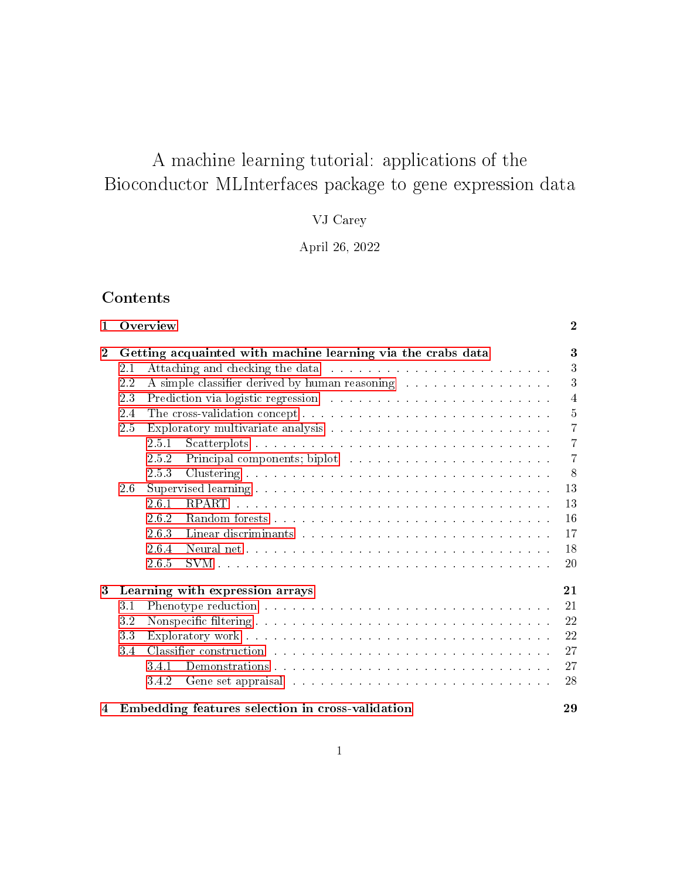# A machine learning tutorial: applications of the Bioconductor MLInterfaces package to gene expression data

## VJ Carey

## April 26, 2022

## **Contents**

| $\mathbf{1}$ |                                       | Overview                                                                                                                                                                                                                                | $\mathbf{2}$   |  |  |  |
|--------------|---------------------------------------|-----------------------------------------------------------------------------------------------------------------------------------------------------------------------------------------------------------------------------------------|----------------|--|--|--|
| $\mathbf{2}$ |                                       | Getting acquainted with machine learning via the crabs data                                                                                                                                                                             | 3              |  |  |  |
|              | 2.1                                   |                                                                                                                                                                                                                                         | 3              |  |  |  |
|              | 2.2                                   | 3<br>A simple classifier derived by human reasoning                                                                                                                                                                                     |                |  |  |  |
|              | 2.3                                   |                                                                                                                                                                                                                                         | $\overline{4}$ |  |  |  |
|              | 2.4                                   | $\overline{5}$                                                                                                                                                                                                                          |                |  |  |  |
|              | 2.5                                   |                                                                                                                                                                                                                                         |                |  |  |  |
|              |                                       | 251                                                                                                                                                                                                                                     | $\overline{7}$ |  |  |  |
|              |                                       | 252                                                                                                                                                                                                                                     | $\overline{7}$ |  |  |  |
|              |                                       | 2.5.3                                                                                                                                                                                                                                   | 8              |  |  |  |
|              | 2.6                                   |                                                                                                                                                                                                                                         | 13             |  |  |  |
|              |                                       | 2.6.1                                                                                                                                                                                                                                   | 13             |  |  |  |
|              |                                       | 2.6.2                                                                                                                                                                                                                                   | 16             |  |  |  |
|              |                                       | 2.6.3<br>Linear discriminants and and and and annual contract the series of the series of the series of the series of the series of the series of the series of the series of the series of the series of the series of the series of t | 17             |  |  |  |
|              |                                       | 2.6.4                                                                                                                                                                                                                                   | 18             |  |  |  |
|              |                                       | 2.6.5                                                                                                                                                                                                                                   | 20             |  |  |  |
| 3            | Learning with expression arrays<br>21 |                                                                                                                                                                                                                                         |                |  |  |  |
|              | 3.1                                   |                                                                                                                                                                                                                                         | 21             |  |  |  |
|              | 3.2                                   |                                                                                                                                                                                                                                         | 22             |  |  |  |
|              | 3.3                                   |                                                                                                                                                                                                                                         | 22             |  |  |  |
|              | 3.4                                   | Classifier construction we have a series of the series of the series of the series of the series of the series of the series of the series of the series of the series of the series of the series of the series of the series          | 27             |  |  |  |
|              |                                       | 3.4.1                                                                                                                                                                                                                                   | 27             |  |  |  |
|              |                                       | 342<br>Gene set appraisal in the contract of the set of the set of the set of the set of the set of the set of the set of the set of the set of the set of the set of the set of the set of the set of the set of the set of the set    | 28             |  |  |  |
| 4            |                                       | Embedding features selection in cross-validation                                                                                                                                                                                        | 29             |  |  |  |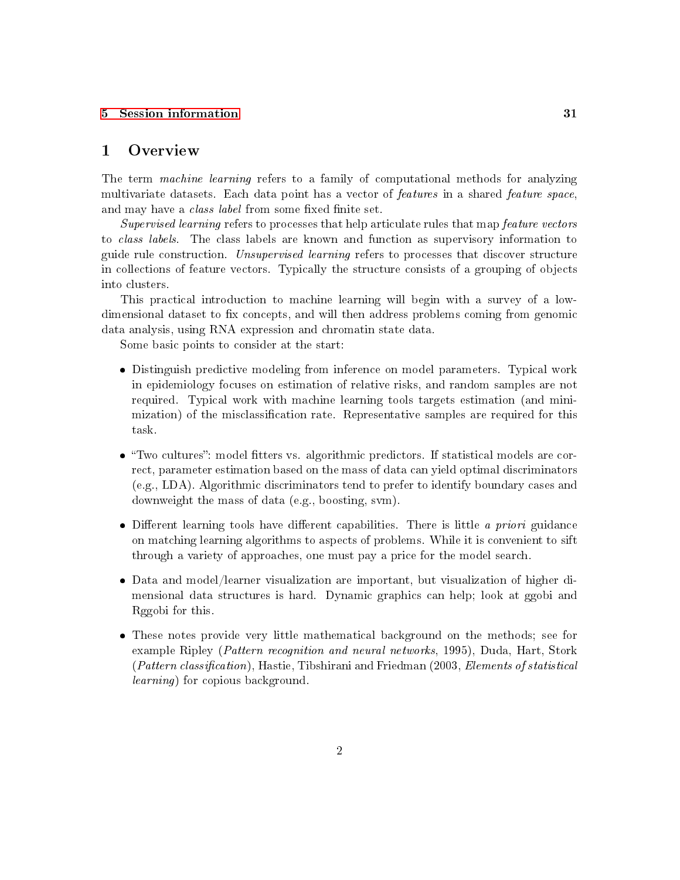#### [5 Session information](#page-30-0) 31

## <span id="page-1-0"></span>1 Overview

The term *machine learning* refers to a family of computational methods for analyzing multivariate datasets. Each data point has a vector of *features* in a shared *feature space*, and may have a *class label* from some fixed finite set.

Supervised learning refers to processes that help articulate rules that map feature vectors to class labels. The class labels are known and function as supervisory information to guide rule construction. Unsupervised learning refers to processes that discover structure in collections of feature vectors. Typically the structure consists of a grouping of objects into clusters.

This practical introduction to machine learning will begin with a survey of a lowdimensional dataset to fix concepts, and will then address problems coming from genomic data analysis, using RNA expression and chromatin state data.

Some basic points to consider at the start:

- Distinguish predictive modeling from inference on model parameters. Typical work in epidemiology focuses on estimation of relative risks, and random samples are not required. Typical work with machine learning tools targets estimation (and minimization) of the misclassification rate. Representative samples are required for this task.
- $\bullet$  "Two cultures": model fitters vs. algorithmic predictors. If statistical models are correct, parameter estimation based on the mass of data can yield optimal discriminators (e.g., LDA). Algorithmic discriminators tend to prefer to identify boundary cases and downweight the mass of data (e.g., boosting, svm).
- $\bullet$  Different learning tools have different capabilities. There is little *a priori* guidance on matching learning algorithms to aspects of problems. While it is convenient to sift through a variety of approaches, one must pay a price for the model search.
- Data and model/learner visualization are important, but visualization of higher dimensional data structures is hard. Dynamic graphics can help; look at ggobi and Rggobi for this.
- These notes provide very little mathematical background on the methods; see for example Ripley (Pattern recognition and neural networks, 1995), Duda, Hart, Stork  $(Patten classification)$ , Hastie, Tibshirani and Friedman  $(2003, Elements\ of statistical$ learning) for copious background.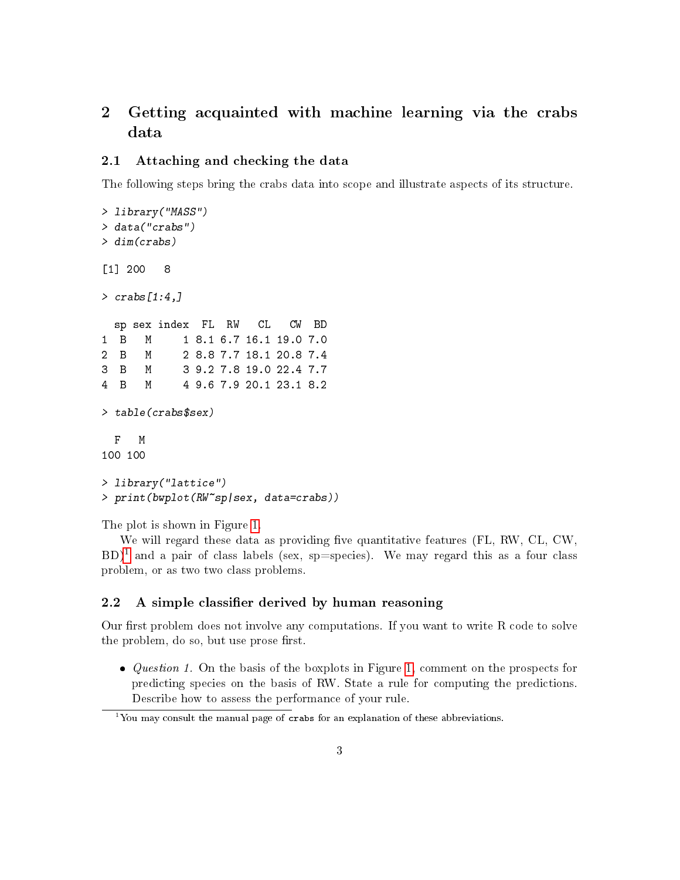## <span id="page-2-0"></span>2 Getting acquainted with machine learning via the crabs data

#### <span id="page-2-1"></span>2.1 Attaching and checking the data

The following steps bring the crabs data into scope and illustrate aspects of its structure.

```
> library("MASS")
> data("crabs")
> dim(crabs)
[1] 200 8
> crabs[1:4]sp sex index FL RW CL CW BD
1 B M 1 8.1 6.7 16.1 19.0 7.0
2 B M 2 8.8 7.7 18.1 20.8 7.4
3 B M 3 9.2 7.8 19.0 22.4 7.7
4 B M 4 9.6 7.9 20.1 23.1 8.2
> table(crabs$sex)
 F M
100 100
> library("lattice")
> print(bwplot(RW~sp|sex, data=crabs))
```
The plot is shown in Figure [1.](#page-3-1)

We will regard these data as providing five quantitative features (FL, RW, CL, CW,  $BD)^1$  $BD)^1$  and a pair of class labels (sex, sp=species). We may regard this as a four class problem, or as two two class problems.

#### <span id="page-2-2"></span>2.2 A simple classifier derived by human reasoning

Our first problem does not involve any computations. If you want to write  $R$  code to solve the problem, do so, but use prose first.

 $\bullet$  *Question 1.* On the basis of the boxplots in Figure [1,](#page-3-1) comment on the prospects for predicting species on the basis of RW. State a rule for computing the predictions. Describe how to assess the performance of your rule.

<span id="page-2-3"></span><sup>&</sup>lt;sup>1</sup>You may consult the manual page of crabs for an explanation of these abbreviations.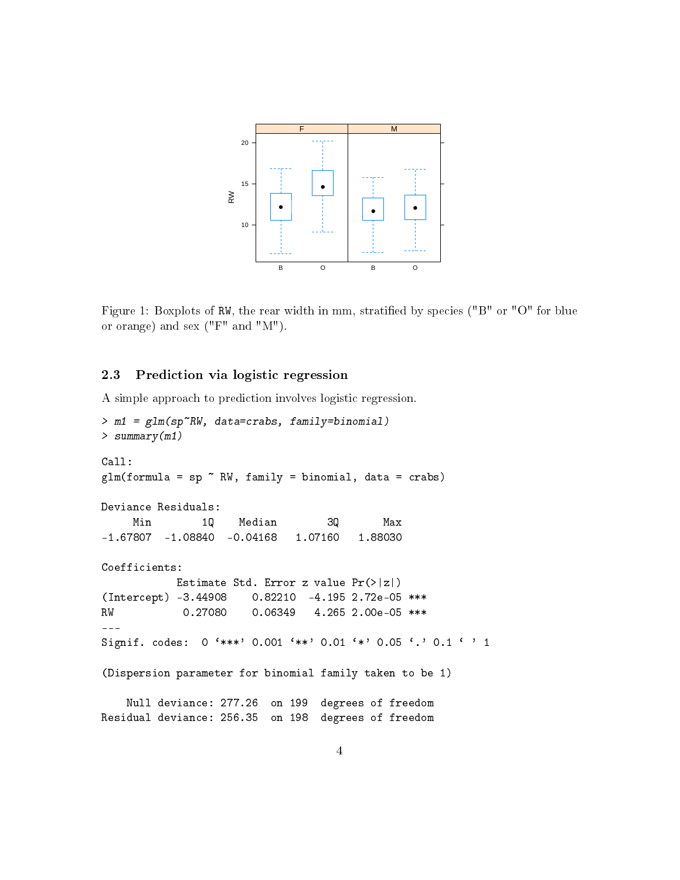

<span id="page-3-1"></span>Figure 1: Boxplots of RW, the rear width in mm, stratified by species ("B" or "O" for blue or orange) and sex ("F" and "M").

#### <span id="page-3-0"></span>2.3 Prediction via logistic regression

A simple approach to prediction involves logistic regression.

```
> m1 = glm(sp~RW, data=crabs, family=binomial)
> summary(m1)
Call:
glm(formula = sp "RW, family = binomial, data = crabs)Deviance Residuals:
    Min 1Q Median 3Q Max
-1.67807 -1.08840 -0.04168 1.07160 1.88030
Coefficients:
           Estimate Std. Error z value Pr(>|z|)
(Intercept) -3.44908 0.82210 -4.195 2.72e-05 ***
RW 0.27080 0.06349 4.265 2.00e-05 ***
---
Signif. codes: 0 '***' 0.001 '**' 0.01 '*' 0.05 '.' 0.1 ' ' 1
(Dispersion parameter for binomial family taken to be 1)
   Null deviance: 277.26 on 199 degrees of freedom
Residual deviance: 256.35 on 198 degrees of freedom
```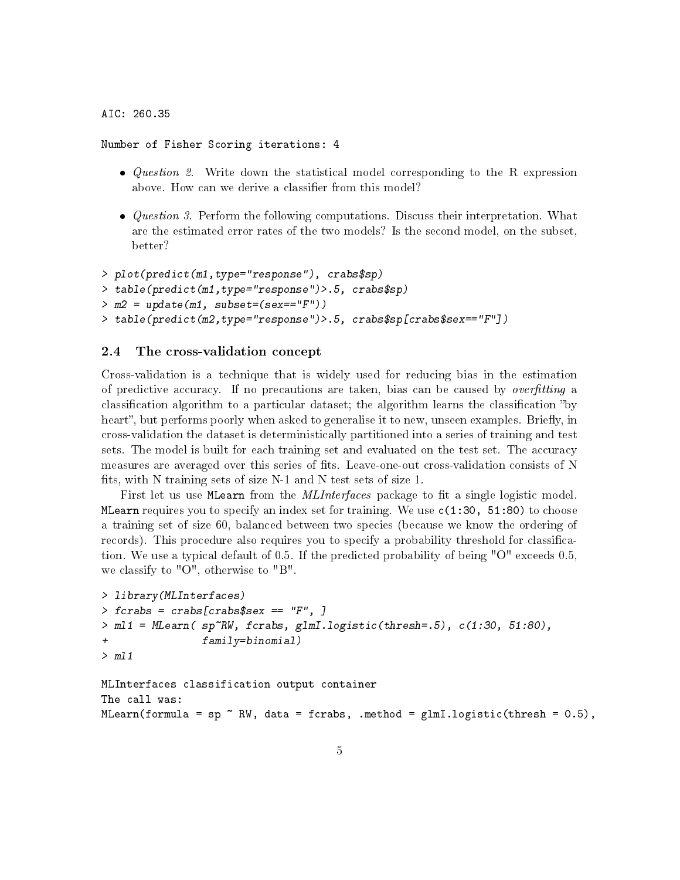AIC: 260.35

Number of Fisher Scoring iterations: 4

- *Question 2.* Write down the statistical model corresponding to the R expression above. How can we derive a classifier from this model?
- *Question 3.* Perform the following computations. Discuss their interpretation. What are the estimated error rates of the two models? Is the second model, on the subset, better?

```
> plot(predict(m1,type="response"), crabs$sp)
> table(predict(m1,type="response")>.5, crabs$sp)
> m2 = update(m1, subset=(sex=="F"))> table(predict(m2,type="response")>.5, crabs$sp[crabs$sex=="F"])
```
#### <span id="page-4-0"></span>2.4 The cross-validation concept

Cross-validation is a technique that is widely used for reducing bias in the estimation of predictive accuracy. If no precautions are taken, bias can be caused by *overfitting* a classification algorithm to a particular dataset; the algorithm learns the classification "by heart", but performs poorly when asked to generalise it to new, unseen examples. Briefly, in cross-validation the dataset is deterministically partitioned into a series of training and test sets. The model is built for each training set and evaluated on the test set. The accuracy measures are averaged over this series of fits. Leave-one-out cross-validation consists of N fits, with N training sets of size  $N-1$  and N test sets of size 1.

First let us use MLearn from the *MLInterfaces* package to fit a single logistic model. MLearn requires you to specify an index set for training. We use  $c(1:30, 51:80)$  to choose a training set of size 60, balanced between two species (because we know the ordering of records). This procedure also requires you to specify a probability threshold for classication. We use a typical default of 0.5. If the predicted probability of being "O" exceeds 0.5, we classify to "O", otherwise to "B".

```
> library(MLInterfaces)
> fcrabs = crabs[crabs$sex == "F", ]
> ml1 = MLearn( sp~RW, fcrabs, glmI.logistic(thresh=.5), c(1:30, 51:80),
+ family=binomial)
> ml1
MLInterfaces classification output container
The call was:
MLearn(formula = sp \tilde{N} RW, data = fcrabs, .method = glmI.logistic(thresh = 0.5),
```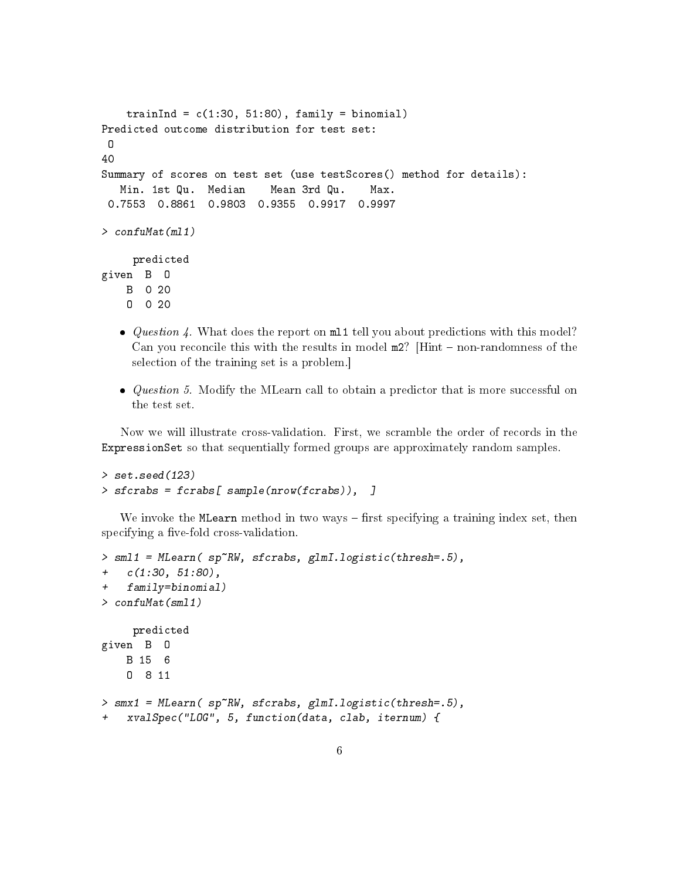```
trainInd = c(1:30, 51:80), family = binomial)
Predicted outcome distribution for test set:
 \Omega40
Summary of scores on test set (use testScores() method for details):
   Min. 1st Qu. Median Mean 3rd Qu. Max.
 0.7553 0.8861 0.9803 0.9355 0.9917 0.9997
> confuMat(ml1)
     predicted
given B O
   B 0 20
    O 0 20
```
- $\bullet$  Question 4. What does the report on m11 tell you about predictions with this model? Can you reconcile this with the results in model  $m2$ ? [Hint  $-$  non-randomness of the selection of the training set is a problem.]
- $\bullet$  *Question 5.* Modify the MLearn call to obtain a predictor that is more successful on the test set.

Now we will illustrate cross-validation. First, we scramble the order of records in the ExpressionSet so that sequentially formed groups are approximately random samples.

```
> set.seed(123)
> sfcrabs = fcrabs[ sample(nrow(fcrabs)), ]
```
We invoke the MLearn method in two ways  $-$  first specifying a training index set, then specifying a five-fold cross-validation.

```
> sml1 = MLearn( sp~RW, sfcrabs, glmI.logistic(thresh=.5),
+ c(1:30, 51:80),
+ family=binomial)
> confuMat(sml1)
    predicted
given B O
   B 15 6
    O 8 11
> smx1 = MLearn( sp~RW, sfcrabs, glmI.logistic(thresh=.5),
+ xvalSpec("LOG", 5, function(data, clab, iternum) {
```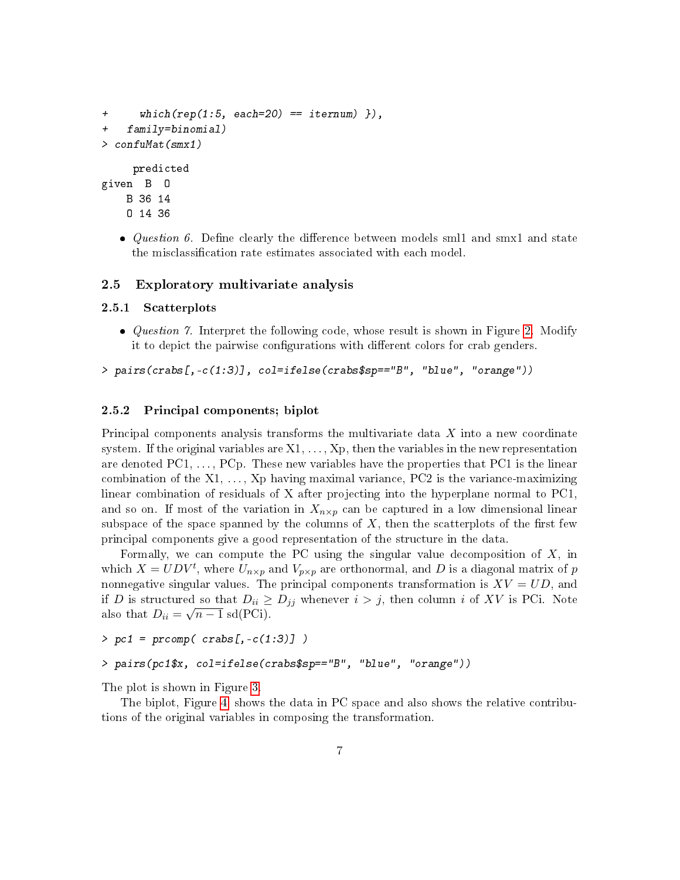```
+ which(rep(1:5, each=20) == item(m)),
+ family=binomial)
> confuMat(smx1)
    predicted
given B O
   B 36 14
   O 14 36
```
• *Question 6.* Define clearly the difference between models smll and smx1 and state the misclassification rate estimates associated with each model.

#### <span id="page-6-0"></span>2.5 Exploratory multivariate analysis

#### <span id="page-6-1"></span>2.5.1 Scatterplots

• *Question 7.* Interpret the following code, whose result is shown in Figure [2.](#page-7-1) Modify it to depict the pairwise configurations with different colors for crab genders.

```
> pairs(crabs[,-c(1:3)], col=ifelse(crabs$sp=="B", "blue", "orange"))
```
#### <span id="page-6-2"></span>2.5.2 Principal components; biplot

Principal components analysis transforms the multivariate data X into a new coordinate system. If the original variables are  $X_1, \ldots, X_p$ , then the variables in the new representation are denoted  $PC1, \ldots, PCp$ . These new variables have the properties that  $PC1$  is the linear combination of the  $X_1, \ldots, X_p$  having maximal variance, PC2 is the variance-maximizing linear combination of residuals of X after projecting into the hyperplane normal to PC1, and so on. If most of the variation in  $X_{n\times p}$  can be captured in a low dimensional linear subspace of the space spanned by the columns of  $X$ , then the scatterplots of the first few principal components give a good representation of the structure in the data.

Formally, we can compute the PC using the singular value decomposition of  $X$ , in which  $X = U D V^t$ , where  $U_{n \times p}$  and  $V_{p \times p}$  are orthonormal, and D is a diagonal matrix of p nonnegative singular values. The principal components transformation is  $XV = UD$ , and if D is structured so that  $D_{ii} \geq D_{jj}$  whenever  $i > j$ , then column i of XV is PCi. Note also that  $D_{ii} = \sqrt{n-1}$  sd(PCi).

```
> pc1 = precomp(crabs[, -c(1:3)])
```

```
> pairs(pc1$x, col=ifelse(crabs$sp=="B", "blue", "orange"))
```
The plot is shown in Figure [3.](#page-8-0)

The biplot, Figure [4,](#page-9-0) shows the data in PC space and also shows the relative contributions of the original variables in composing the transformation.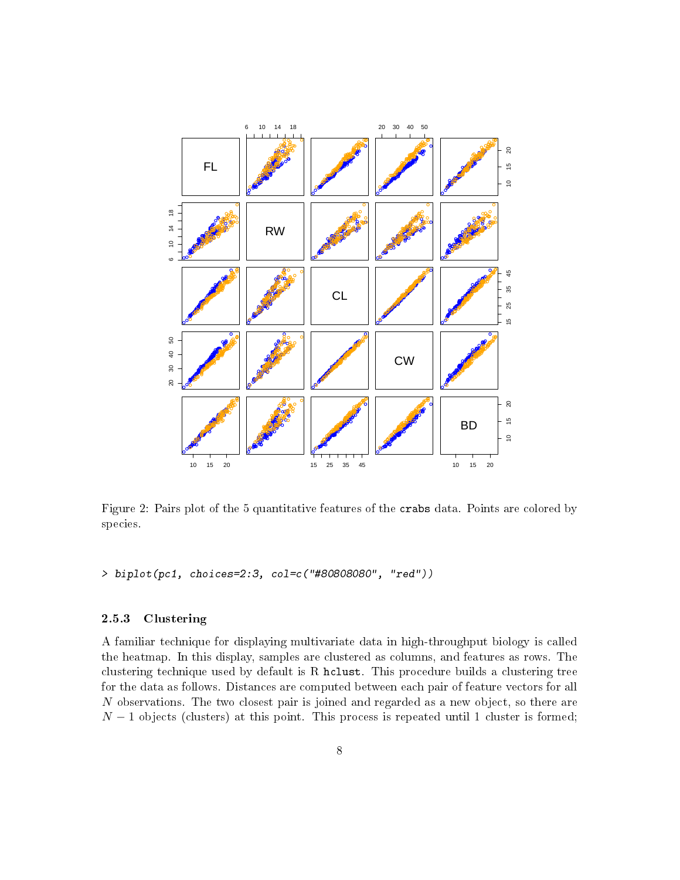

<span id="page-7-1"></span>Figure 2: Pairs plot of the 5 quantitative features of the crabs data. Points are colored by species.

```
> biplot(pc1, choices=2:3, col=c("#80808080", "red"))
```
## <span id="page-7-0"></span>2.5.3 Clustering

A familiar technique for displaying multivariate data in high-throughput biology is called the heatmap. In this display, samples are clustered as columns, and features as rows. The clustering technique used by default is R hclust. This procedure builds a clustering tree for the data as follows. Distances are computed between each pair of feature vectors for all N observations. The two closest pair is joined and regarded as a new object, so there are  $N-1$  objects (clusters) at this point. This process is repeated until 1 cluster is formed;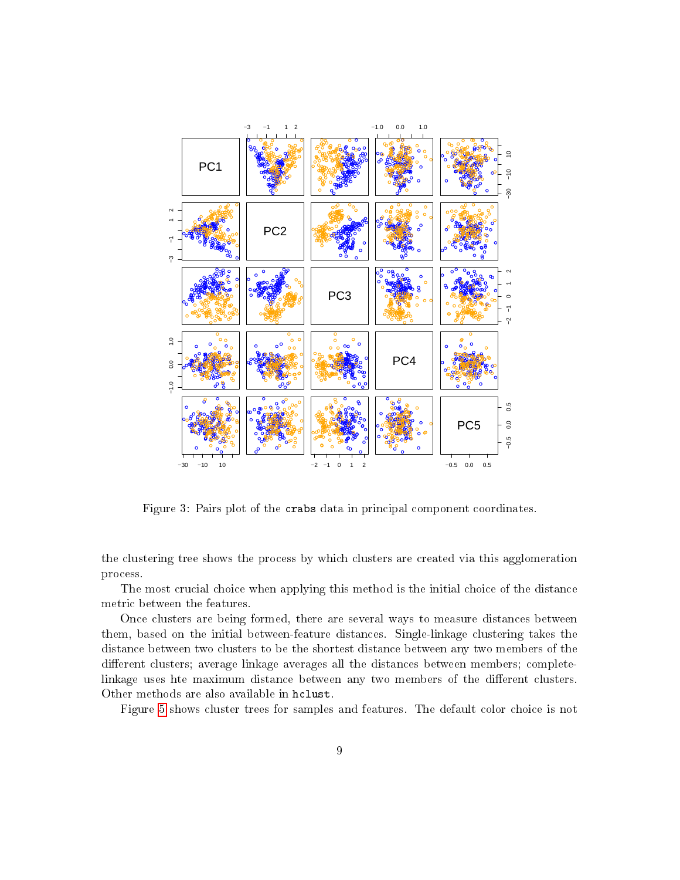

<span id="page-8-0"></span>Figure 3: Pairs plot of the crabs data in principal component coordinates.

the clustering tree shows the process by which clusters are created via this agglomeration process.

The most crucial choice when applying this method is the initial choice of the distance metric between the features.

Once clusters are being formed, there are several ways to measure distances between them, based on the initial between-feature distances. Single-linkage clustering takes the distance between two clusters to be the shortest distance between any two members of the different clusters; average linkage averages all the distances between members; completelinkage uses hte maximum distance between any two members of the different clusters. Other methods are also available in hclust.

Figure [5](#page-10-0) shows cluster trees for samples and features. The default color choice is not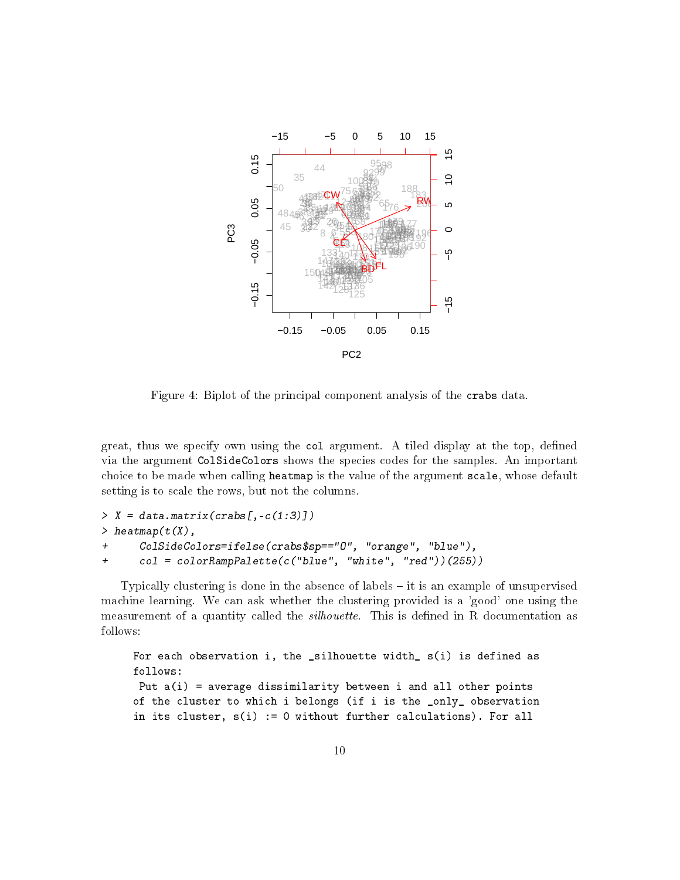

<span id="page-9-0"></span>Figure 4: Biplot of the principal component analysis of the crabs data.

great, thus we specify own using the col argument. A tiled display at the top, dened via the argument ColSideColors shows the species codes for the samples. An important choice to be made when calling heatmap is the value of the argument scale, whose default setting is to scale the rows, but not the columns.

```
> X = data.maxrix(crabs[, -c(1:3)])> heatmap(t(X),
+ ColSideColors=ifelse(crabs$sp=="O", "orange", "blue"),
+ col = colorRampPalette(c("blue", "white", "red"))(255))
```
Typically clustering is done in the absence of labels  $-$  it is an example of unsupervised machine learning. We can ask whether the clustering provided is a 'good' one using the measurement of a quantity called the *silhouette*. This is defined in R documentation as follows:

```
For each observation i, the _silhouette width_ s(i) is defined as
follows:
Put a(i) = average dissimilarity between i and all other points
of the cluster to which i belongs (if i is the _only_ observation
in its cluster, s(i) := 0 without further calculations). For all
```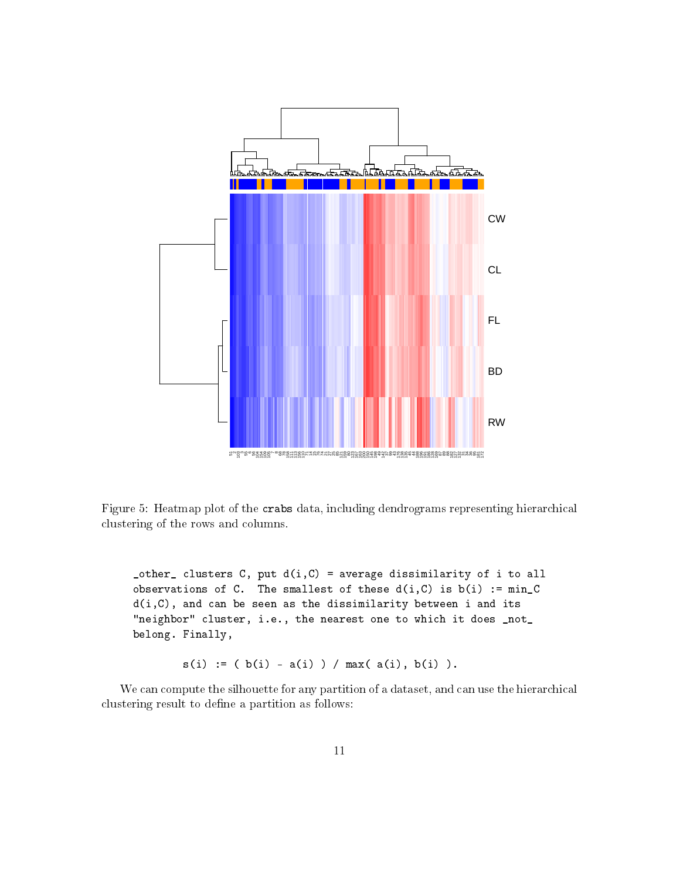

<span id="page-10-0"></span>Figure 5: Heatmap plot of the crabs data, including dendrograms representing hierarchical clustering of the rows and columns.

 $_{\text{other}}$  clusters C, put  $d(i,C)$  = average dissimilarity of i to all observations of C. The smallest of these  $d(i, C)$  is  $b(i) := min_C$  $d(i, C)$ , and can be seen as the dissimilarity between i and its "neighbor" cluster, i.e., the nearest one to which it does \_not\_ belong. Finally,

 $s(i) := (b(i) - a(i)) / max(a(i), b(i)).$ 

We can compute the silhouette for any partition of a dataset, and can use the hierarchical clustering result to define a partition as follows: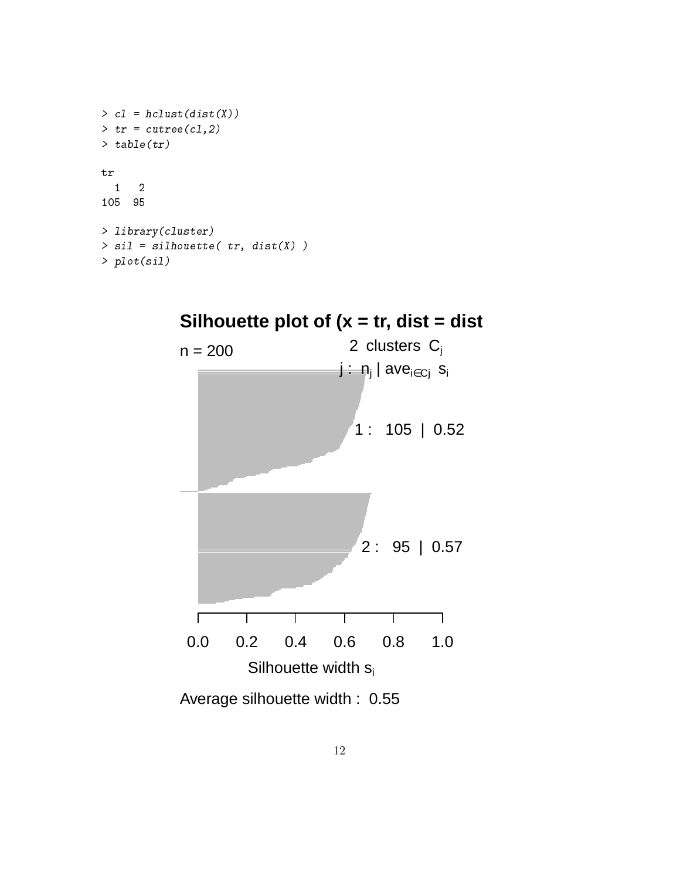```
> c1 = hclust(dist(X))> tr = cutree(cl, 2)> table(tr)
tr
 1 2
105 95
> library(cluster)
> sil = silhouette( tr, dist(X))
> plot(sil)
```
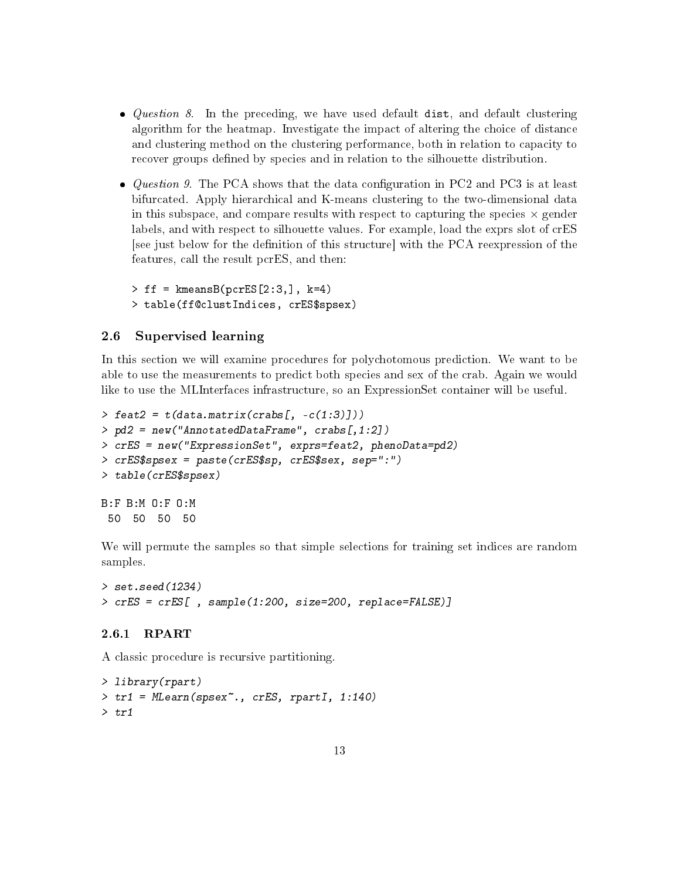- *Question 8*. In the preceding, we have used default dist, and default clustering algorithm for the heatmap. Investigate the impact of altering the choice of distance and clustering method on the clustering performance, both in relation to capacity to recover groups defined by species and in relation to the silhouette distribution.
- Question 9. The PCA shows that the data configuration in PC2 and PC3 is at least bifurcated. Apply hierarchical and K-means clustering to the two-dimensional data in this subspace, and compare results with respect to capturing the species  $\times$  gender labels, and with respect to silhouette values. For example, load the exprs slot of crES [see just below for the denition of this structure] with the PCA reexpression of the features, call the result pcrES, and then:

 $>$  ff = kmeansB(pcrES[2:3,], k=4) > table(ff@clustIndices, crES\$spsex)

### <span id="page-12-0"></span>2.6 Supervised learning

In this section we will examine procedures for polychotomous prediction. We want to be able to use the measurements to predict both species and sex of the crab. Again we would like to use the MLInterfaces infrastructure, so an ExpressionSet container will be useful.

```
\geq feat2 = t(data.matrix(crabs[, -c(1:3)]))
> pd2 = new("AnnotatedDataFrame", crabs[,1:2])
> crES = new("ExpressionSet", exprs=feat2, phenoData=pd2)
> crES$spsex = paste(crES$sp, crES$sex, sep=":")
> table(crES$spsex)
B:F B:M O:F O:M
```
50 50 50 50

We will permute the samples so that simple selections for training set indices are random samples.

```
> set.seed(1234)
> crES = crES[ , sample(1:200, size=200, replace=FALSE)]
```
#### <span id="page-12-1"></span>2.6.1 RPART

A classic procedure is recursive partitioning.

```
> library(rpart)
> tr1 = MLearn(spsex~., crES, rpartI, 1:140)
> tr1
```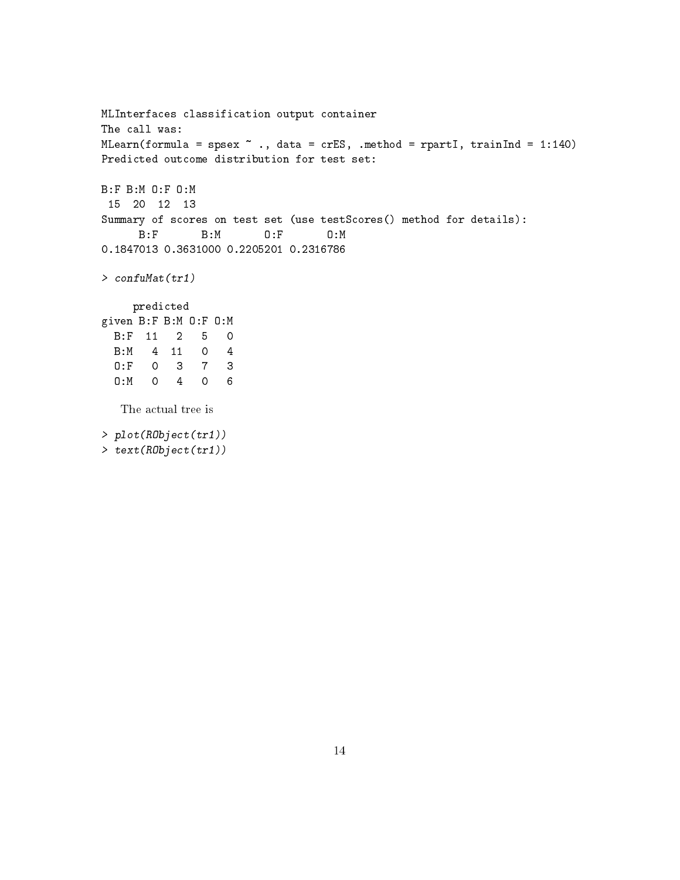```
MLInterfaces classification output container
The call was:
MLearn(formula = spsex \sim ., data = crES, .method = rpartI, trainInd = 1:140)
Predicted outcome distribution for test set:
B:F B:M O:F O:M
15 20 12 13
Summary of scores on test set (use testScores() method for details):
      B:F B:M O:F O:M
0.1847013 0.3631000 0.2205201 0.2316786
> confuMat(tr1)
    predicted
given B:F B:M O:F O:M
 B:F 11 2 5 0
 B:M 4 11 0 4
 O:F 0 3 7 3
 O:M 0 4 0 6
  The actual tree is
> plot(RObject(tr1))
```

```
> text(RObject(tr1))
```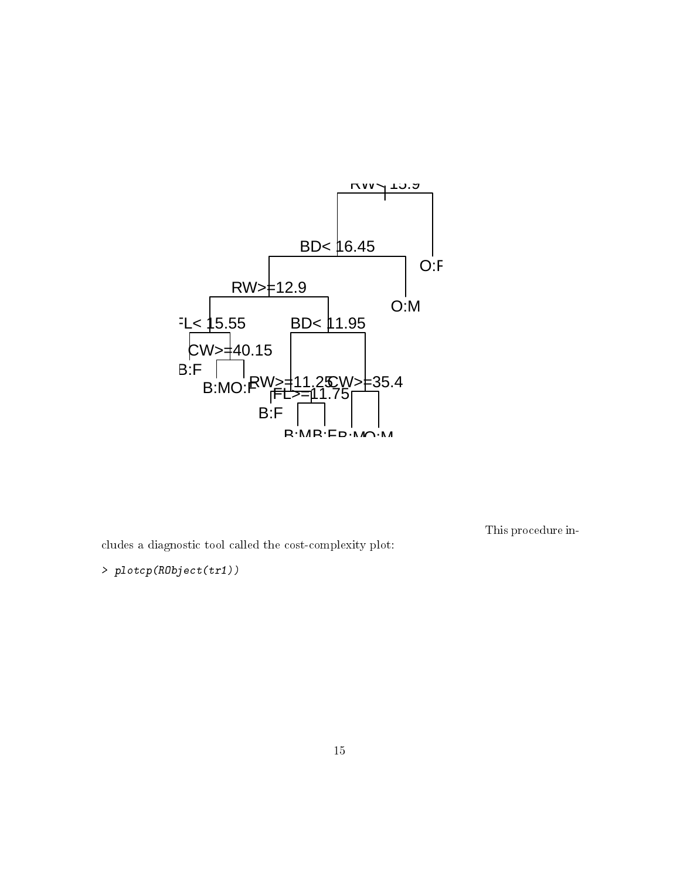

This procedure in-

cludes a diagnostic tool called the cost-complexity plot:

> plotcp(RObject(tr1))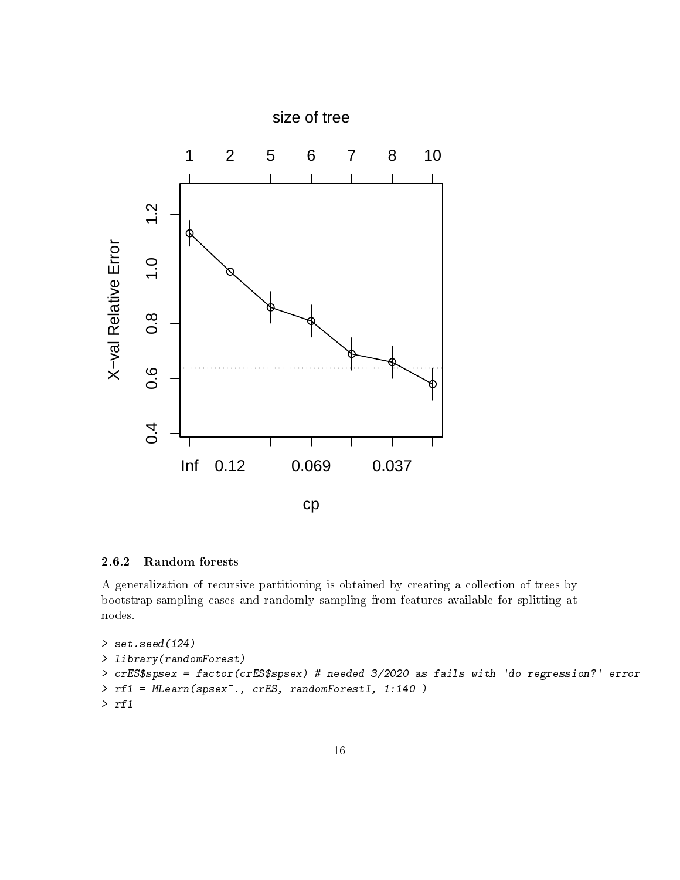

### <span id="page-15-0"></span>2.6.2 Random forests

A generalization of recursive partitioning is obtained by creating a collection of trees by bootstrap-sampling cases and randomly sampling from features available for splitting at nodes.

```
> set.seed(124)
> library(randomForest)
> crES$spsex = factor(crES$spsex) # needed 3/2020 as fails with 'do regression?' error
> rf1 = MLearn(spsex~., crES, randomForestI, 1:140 )
> rf1
```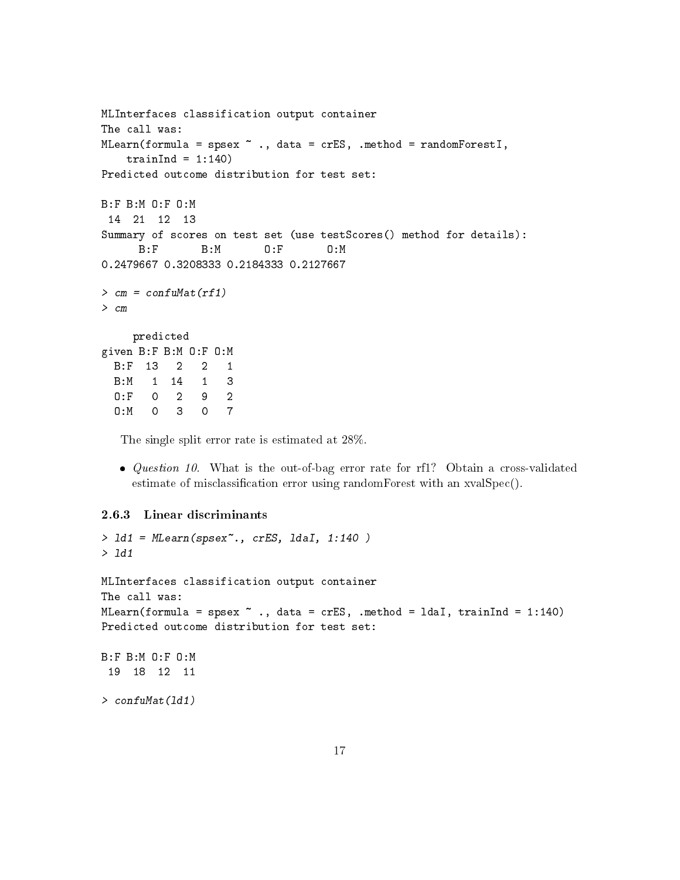```
MLInterfaces classification output container
The call was:
MLearn(formula = spsex \tilde{ } ., data = crES, .method = randomForestI,
   trainInd = 1:140)
Predicted outcome distribution for test set:
B:F B:M O:F O:M
14 21 12 13
Summary of scores on test set (use testScores() method for details):
     B:F B:M O:F O:M
0.2479667 0.3208333 0.2184333 0.2127667
> cm = confulMat(rf1)> cm
    predicted
given B:F B:M O:F O:M
 B:F 13 2 2 1
 B:M 1 14 1 3
 O:F 0 2 9 2
 O:M 0 3 0 7
```
The single split error rate is estimated at 28%.

• Question 10. What is the out-of-bag error rate for rf1? Obtain a cross-validated estimate of misclassification error using randomForest with an xvalSpec().

#### <span id="page-16-0"></span>2.6.3 Linear discriminants

```
> ld1 = MLearn(spsex~., crES, ldaI, 1:140 )
> ld1
MLInterfaces classification output container
The call was:
MLearn(formula = spsex \sim ., data = crES, .method = ldaI, trainInd = 1:140)
Predicted outcome distribution for test set:
B:F B:M O:F O:M
 19 18 12 11
> confuMat(ld1)
```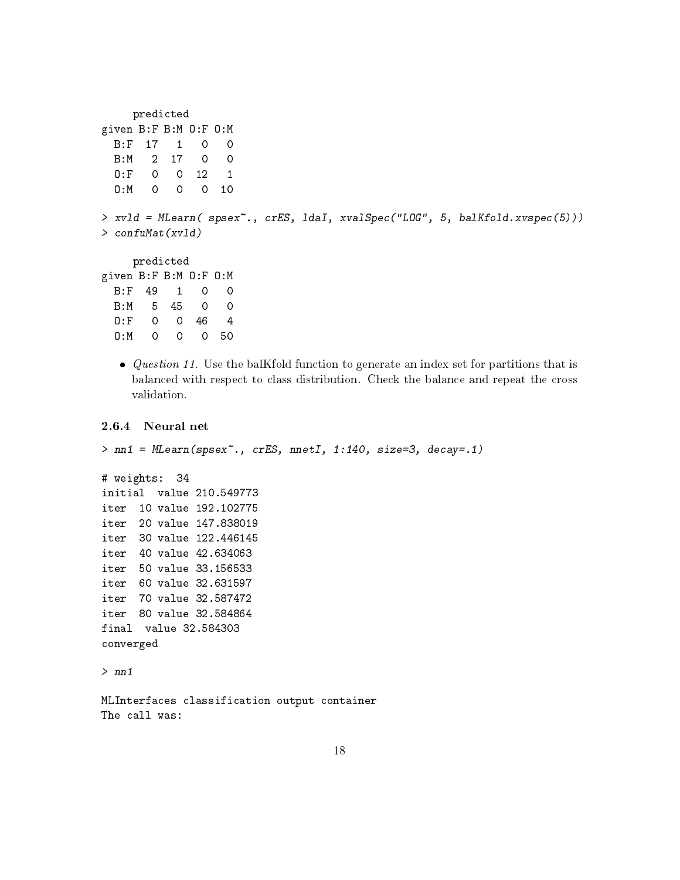```
predicted
given B:F B:M O:F O:M
 B:F 17 1 0 0
 B:M 2 17 0 0
 O:F 0 0 12 1
 O:M 0 0 0 10
> xvld = MLearn( spsex~., crES, ldaI, xvalSpec("LOG", 5, balKfold.xvspec(5)))
> confuMat(xvld)
    predicted
given B:F B:M O:F O:M
 B:F 49 1 0 0
 B:M 5 45 0 0
 O:F 0 0 46 4
 O:M 0 0 0 50
```
 $\bullet$  *Question 11.* Use the balKfold function to generate an index set for partitions that is balanced with respect to class distribution. Check the balance and repeat the cross validation.

#### <span id="page-17-0"></span>2.6.4 Neural net

```
> nn1 = MLearn(spsex~., crES, nnetI, 1:140, size=3, decay=.1)
# weights: 34
initial value 210.549773
iter 10 value 192.102775
iter 20 value 147.838019
iter 30 value 122.446145
iter 40 value 42.634063
iter 50 value 33.156533
iter 60 value 32.631597
iter 70 value 32.587472
iter 80 value 32.584864
final value 32.584303
converged
> nn1
MLInterfaces classification output container
The call was:
```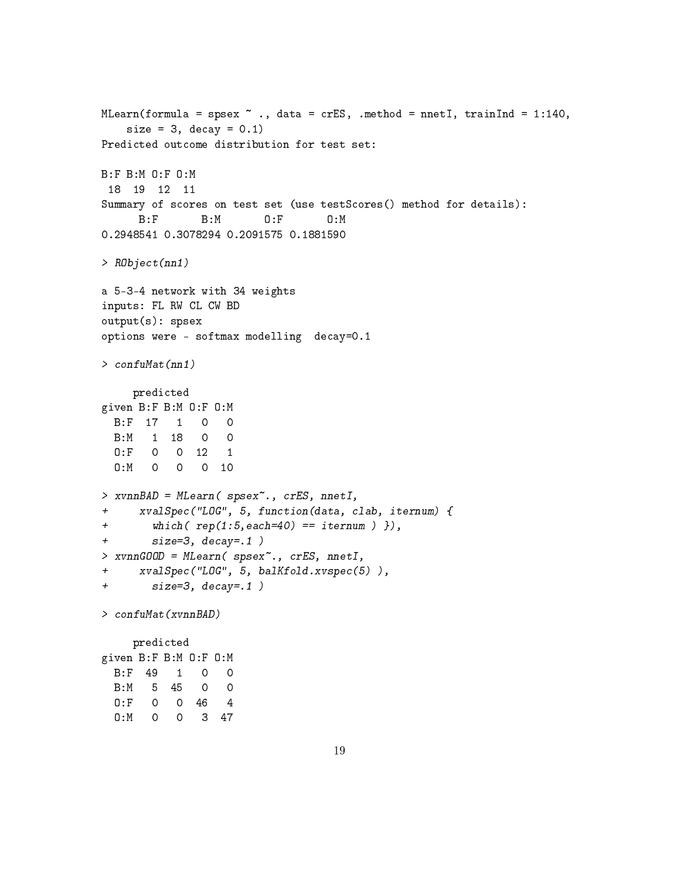```
MLearn(formula = spsex \tilde{ } ., data = crES, .method = nnetI, trainInd = 1:140,
   size = 3, decay = 0.1)
Predicted outcome distribution for test set:
B:F B:M O:F O:M
18 19 12 11
Summary of scores on test set (use testScores() method for details):
     B:F B:M O:F O:M
0.2948541 0.3078294 0.2091575 0.1881590
> RObject(nn1)
a 5-3-4 network with 34 weights
inputs: FL RW CL CW BD
output(s): spsex
options were - softmax modelling decay=0.1
> confuMat(nn1)
    predicted
given B:F B:M O:F O:M
 B:F 17 1 0 0
 B:M 1 18 0 0
 O:F 0 0 12 1
 O:M 0 0 0 10
> xvnnBAD = MLearn( spsex~., crES, nnetI,
+ xvalSpec("LOG", 5, function(data, clab, iternum) {
+ which( rep(1:5,each=40) == iternum ) }),
+ size=3, decay=.1 )
> xvnnGOOD = MLearn( spsex~., crES, nnetI,
+ xvalSpec("LOG", 5, balKfold.xvspec(5) ),
+ size=3, decay=.1 )
> confuMat(xvnnBAD)
    predicted
given B:F B:M O:F O:M
 B:F 49 1 0 0
 B:M 5 45 0 0
  O:F 0 0 46 4
  O:M 0 0 3 47
```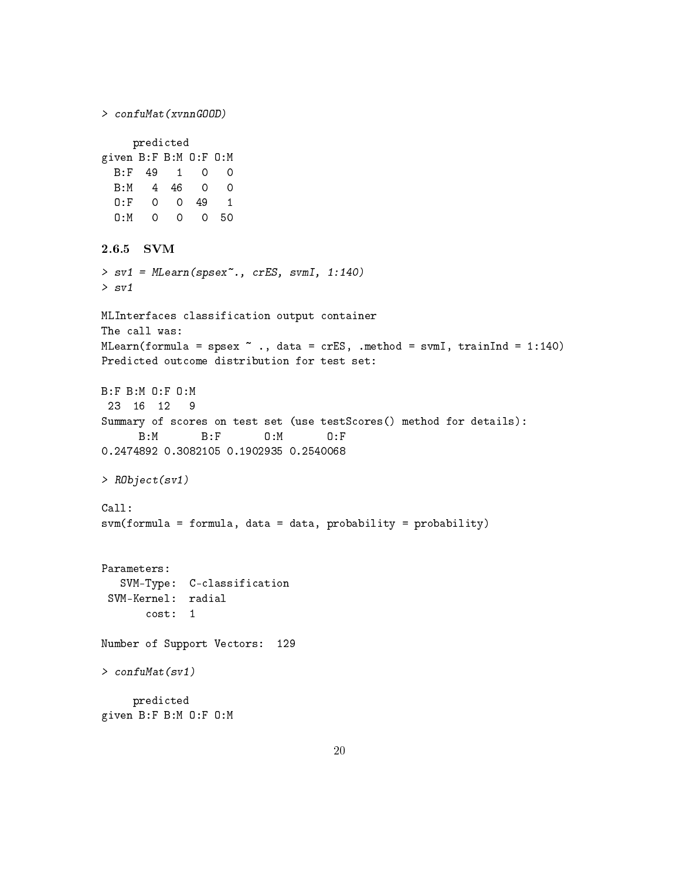<span id="page-19-0"></span>> confuMat(xvnnGOOD) predicted given B:F B:M O:F O:M B:F 49 1 0 0 B:M 4 46 0 0 O:F 0 0 49 1 O:M 0 0 0 50 2.6.5 SVM > sv1 = MLearn(spsex~., crES, svmI, 1:140) > sv1 MLInterfaces classification output container The call was: MLearn(formula = spsex  $\sim$  ., data = crES, .method = svmI, trainInd = 1:140) Predicted outcome distribution for test set: B:F B:M O:F O:M 23 16 12 9 Summary of scores on test set (use testScores() method for details): B:M B:F O:M O:F 0.2474892 0.3082105 0.1902935 0.2540068 > RObject(sv1) Call: svm(formula = formula, data = data, probability = probability) Parameters: SVM-Type: C-classification SVM-Kernel: radial cost: 1 Number of Support Vectors: 129 > confuMat(sv1) predicted given B:F B:M O:F O:M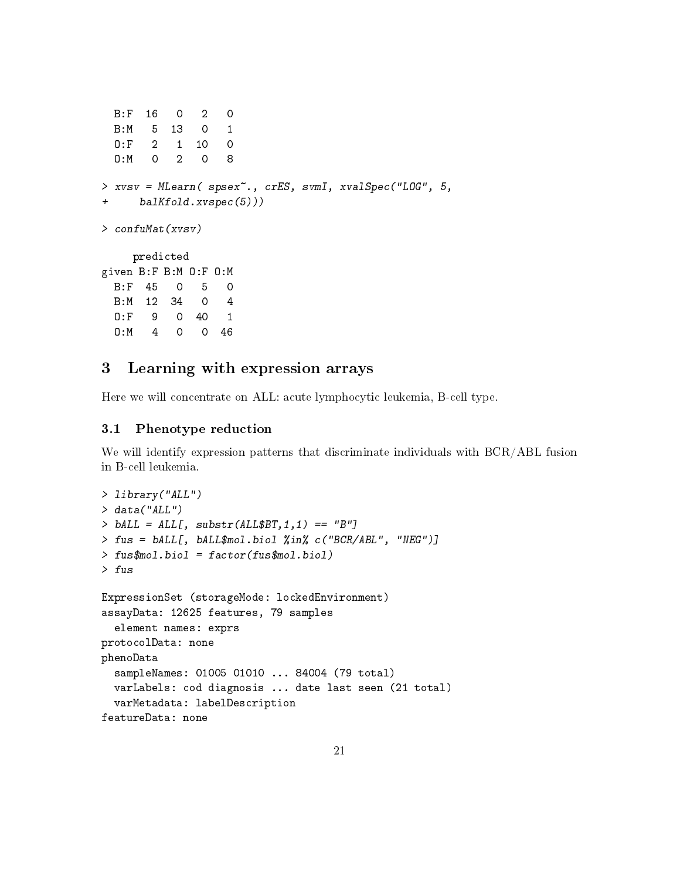```
B:F 16 0 2 0
 B:M 5 13 0 1
 O:F 2 1 10 0
 O:M 0 2 0 8
> xvsv = MLearn( spsex~., crES, svmI, xvalSpec("LOG", 5,
+ balKfold.xvspec(5)))
> confuMat(xvsv)
    predicted
given B:F B:M O:F O:M
 B:F 45 0 5 0
 B:M 12 34 0 4
 O:F 9 0 40 1
 O:M 4 0 0 46
```
## <span id="page-20-0"></span>3 Learning with expression arrays

Here we will concentrate on ALL: acute lymphocytic leukemia, B-cell type.

### <span id="page-20-1"></span>3.1 Phenotype reduction

We will identify expression patterns that discriminate individuals with BCR/ABL fusion in B-cell leukemia.

```
> library("ALL")
> data("ALL")
> bALL = ALL[, substr(ALL$BT, 1, 1) == "B"]
> fus = bALL[, bALL$mol.biol %in% c("BCR/ABL", "NEG")]
> fus$mol.biol = factor(fus$mol.biol)
> fus
ExpressionSet (storageMode: lockedEnvironment)
assayData: 12625 features, 79 samples
  element names: exprs
protocolData: none
phenoData
  sampleNames: 01005 01010 ... 84004 (79 total)
  varLabels: cod diagnosis ... date last seen (21 total)
  varMetadata: labelDescription
featureData: none
```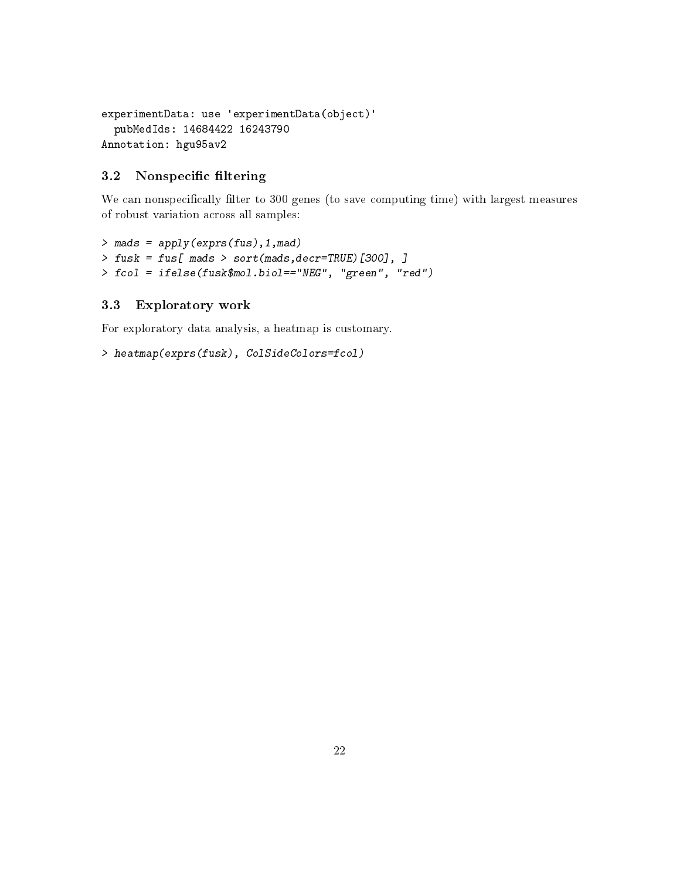```
experimentData: use 'experimentData(object)'
  pubMedIds: 14684422 16243790
Annotation: hgu95av2
```
### <span id="page-21-0"></span>3.2 Nonspecific filtering

We can nonspecifically filter to 300 genes (to save computing time) with largest measures of robust variation across all samples:

```
> mads = apply(exprs(fus),1,mad)
> fusk = fus[ mads > sort(mads,decr=TRUE)[300], ]
> fcol = ifelse(fusk$mol.biol=="NEG", "green", "red")
```
### <span id="page-21-1"></span>3.3 Exploratory work

For exploratory data analysis, a heatmap is customary.

```
> heatmap(exprs(fusk), ColSideColors=fcol)
```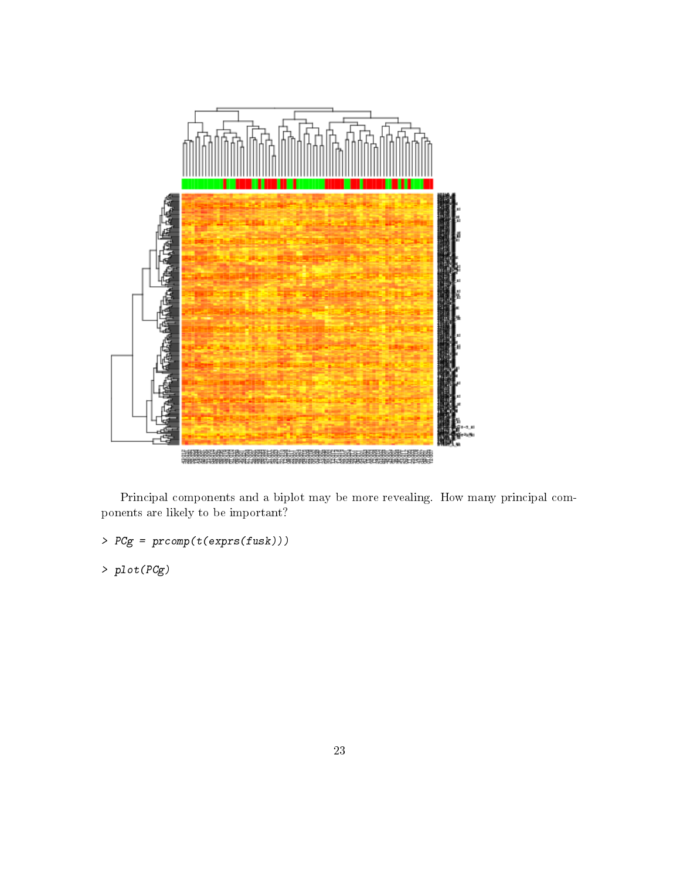

Principal components and a biplot may be more revealing. How many principal components are likely to be important?

> PCg = prcomp(t(exprs(fusk)))

> plot(PCg)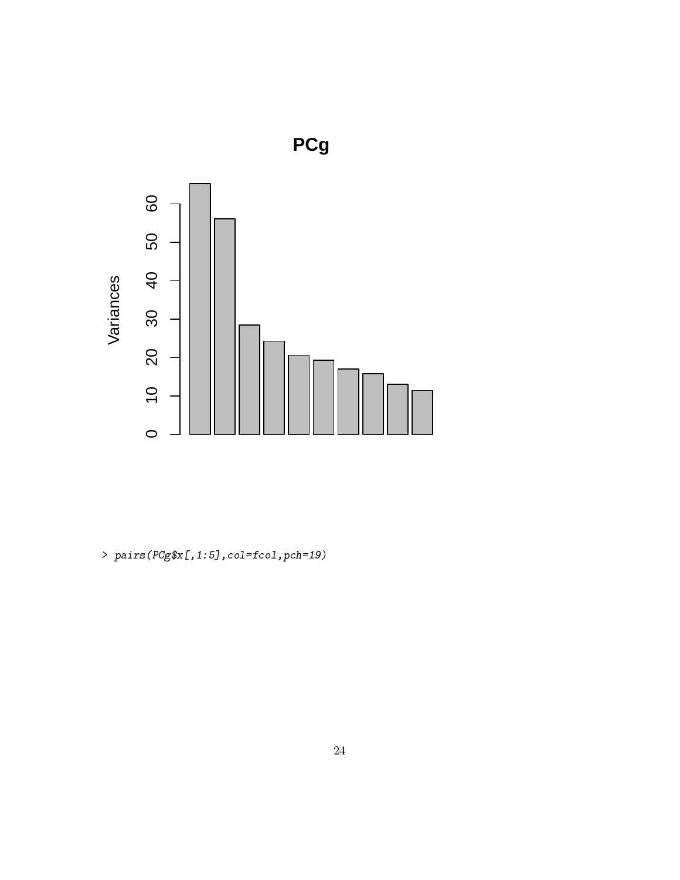

 $>$   $pairs(PCg\$   $I,1:5]$  ,  $col=$   $fcol$  ,  $pch$   $=$   $19)$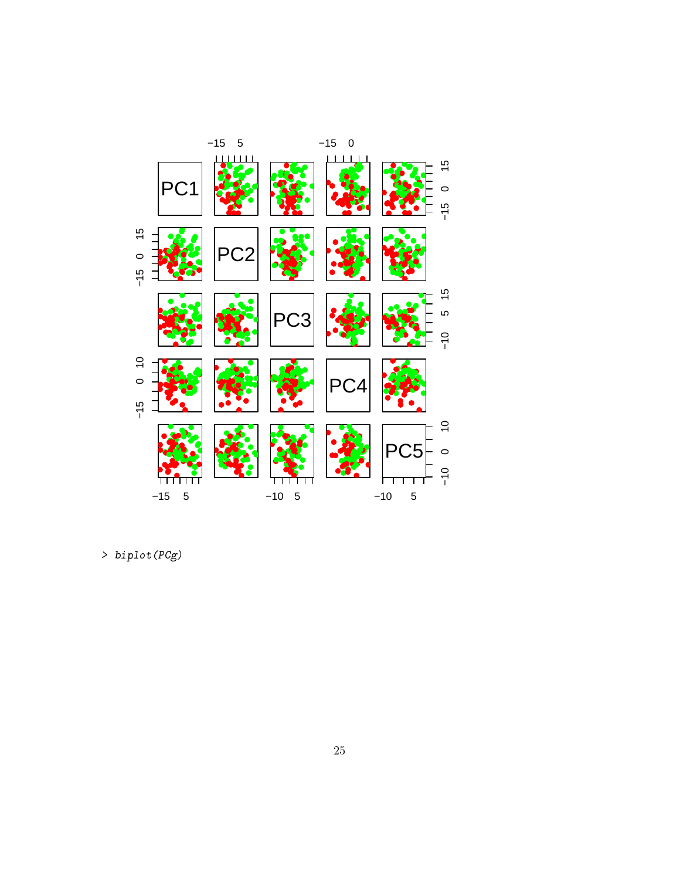

> biplot(PCg)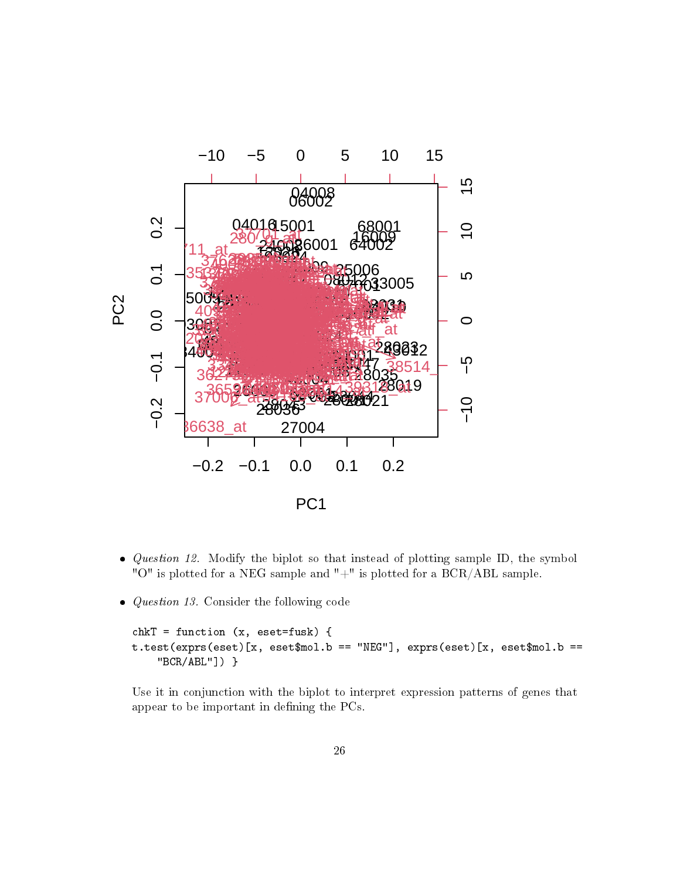

- *Question 12.* Modify the biplot so that instead of plotting sample ID, the symbol "O" is plotted for a NEG sample and "+" is plotted for a BCR/ABL sample.
- *Question 13.* Consider the following code

```
chkT = function (x, eset=fusk) {
t.test(exprs(eset)[x, eset$mol.b == "NEG"], exprs(eset)[x, eset$mol.b ==
    "BCR/ABL"]) }
```
Use it in conjunction with the biplot to interpret expression patterns of genes that appear to be important in defining the PCs.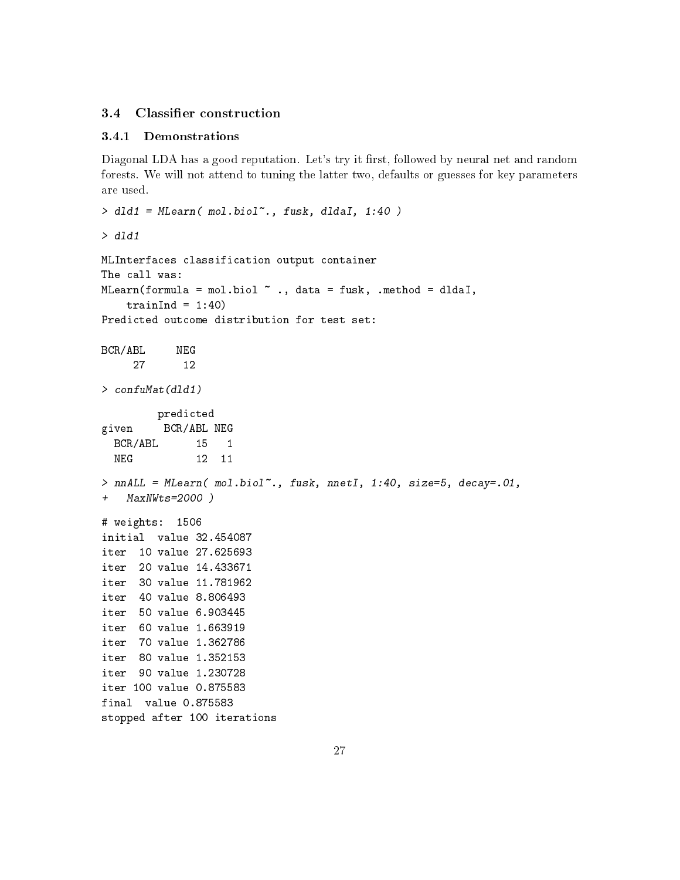### <span id="page-26-0"></span>3.4 Classifier construction

### <span id="page-26-1"></span>3.4.1 Demonstrations

Diagonal LDA has a good reputation. Let's try it first, followed by neural net and random forests. We will not attend to tuning the latter two, defaults or guesses for key parameters are used.

```
> dld1 = MLearn( mol.biol~., fusk, dldaI, 1:40 )
> dld1
MLInterfaces classification output container
The call was:
MLearn(formula = mol.biol \tilde{ } ., data = fusk, .method = dldaI,
    trainInd = 1:40)
Predicted outcome distribution for test set:
BCR/ABL NEG
     27 12
> confuMat(dld1)
        predicted
given BCR/ABL NEG
  BCR/ABL 15 1
 NEG 12 11
> nnALL = MLearn( mol.biol~., fusk, nnetI, 1:40, size=5, decay=.01,
+ MaxNWts=2000 )
# weights: 1506
initial value 32.454087
iter 10 value 27.625693
iter 20 value 14.433671
iter 30 value 11.781962
iter 40 value 8.806493
iter 50 value 6.903445
iter 60 value 1.663919
iter 70 value 1.362786
iter 80 value 1.352153
iter 90 value 1.230728
iter 100 value 0.875583
final value 0.875583
stopped after 100 iterations
```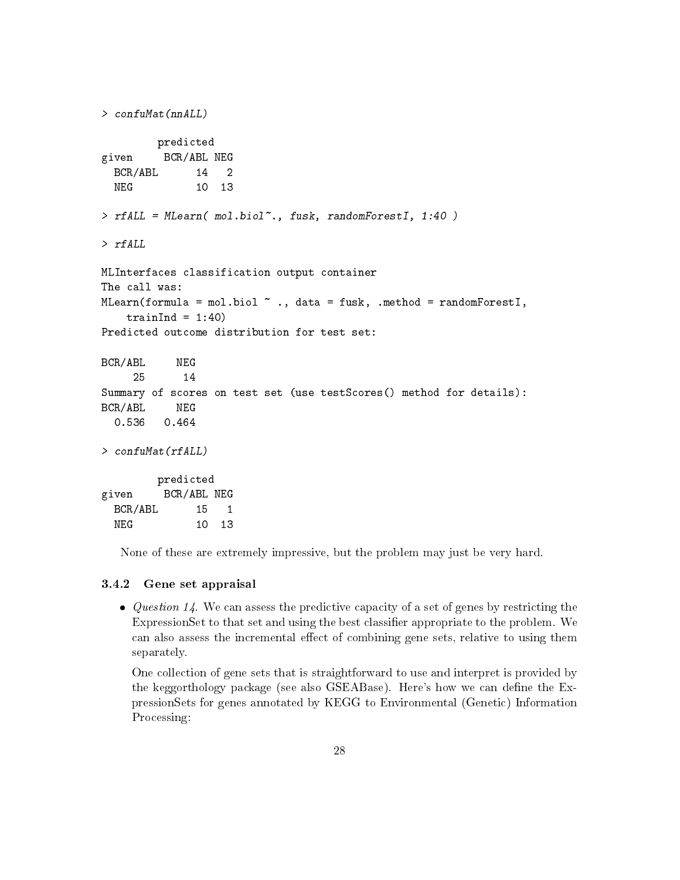```
> confuMat(nnALL)
        predicted
given BCR/ABL NEG
 BCR/ABL 14 2
 NEG 10 13
> rfALL = MLearn( mol.biol~., fusk, randomForestI, 1:40 )
> rfALL
MLInterfaces classification output container
The call was:
MLearn(formula = mol.biol ., data = fusk, .method = randomForestI,
   trainInd = 1:40)
Predicted outcome distribution for test set:
BCR/ABL NEG
     25 14
Summary of scores on test set (use testScores() method for details):
BCR/ABL NEG
  0.536 0.464
> confuMat(rfALL)
        predicted
given BCR/ABL NEG
 BCR/ABL 15 1
 NEG 10 13
```
None of these are extremely impressive, but the problem may just be very hard.

#### <span id="page-27-0"></span>3.4.2 Gene set appraisal

• Question 14. We can assess the predictive capacity of a set of genes by restricting the ExpressionSet to that set and using the best classifier appropriate to the problem. We can also assess the incremental effect of combining gene sets, relative to using them separately.

One collection of gene sets that is straightforward to use and interpret is provided by the keggorthology package (see also GSEABase). Here's how we can define the ExpressionSets for genes annotated by KEGG to Environmental (Genetic) Information Processing: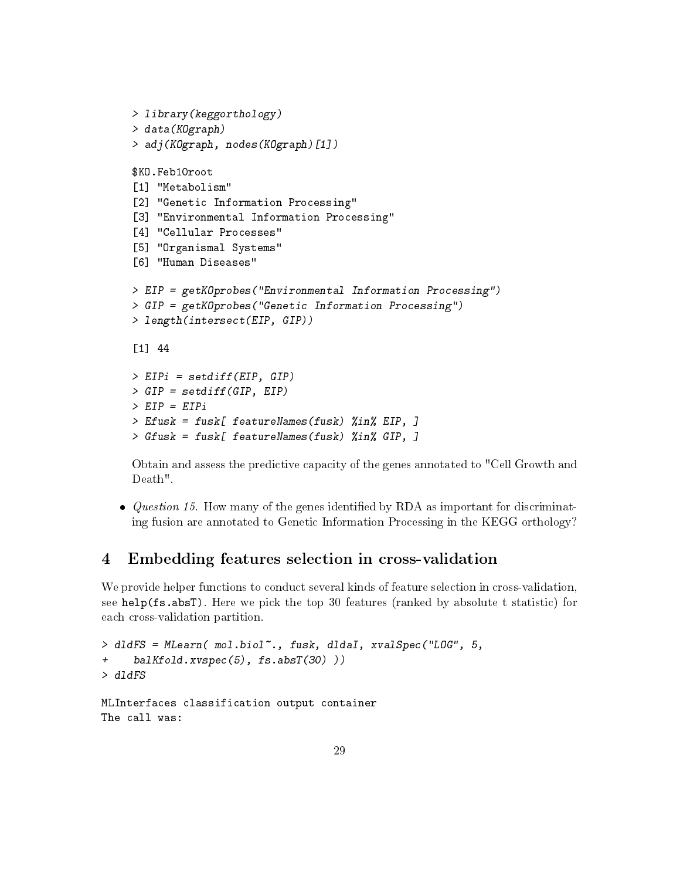```
> library(keggorthology)
> data(KOgraph)
> adj(KOgraph, nodes(KOgraph)[1])
$KO.Feb10root
[1] "Metabolism"
[2] "Genetic Information Processing"
[3] "Environmental Information Processing"
[4] "Cellular Processes"
[5] "Organismal Systems"
[6] "Human Diseases"
> EIP = getKOprobes("Environmental Information Processing")
> GIP = getKOprobes("Genetic Information Processing")
> length(intersect(EIP, GIP))
[1] 44
> EIPi = setdiff(EIP, GIP)
> GIP = setdiff(GIP, EIP)
> EIP = EIPi> Efusk = fusk[ featureNames(fusk) %in% EIP, ]
> Gfusk = fusk[ featureNames(fusk) %in% GIP, ]
```
Obtain and assess the predictive capacity of the genes annotated to "Cell Growth and Death".

 $\bullet$  *Question 15.* How many of the genes identified by RDA as important for discriminating fusion are annotated to Genetic Information Processing in the KEGG orthology?

## <span id="page-28-0"></span>4 Embedding features selection in cross-validation

We provide helper functions to conduct several kinds of feature selection in cross-validation, see help(fs.absT). Here we pick the top 30 features (ranked by absolute t statistic) for each cross-validation partition.

```
> dldFS = MLearn( mol.biol~., fusk, dldaI, xvalSpec("LOG", 5,
+ balKfold.xvspec(5), fs.absT(30) ))
> dldFS
MLInterfaces classification output container
The call was:
```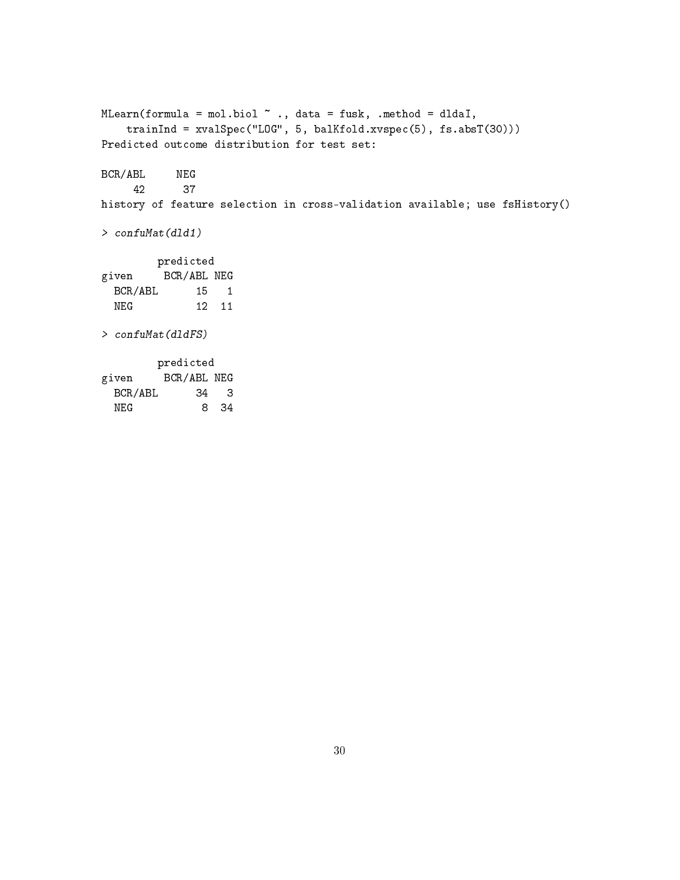MLearn(formula = mol.biol  $\tilde{ }$  ., data = fusk, .method = dldaI, trainInd = xvalSpec("LOG", 5, balKfold.xvspec(5), fs.absT(30))) Predicted outcome distribution for test set: BCR/ABL NEG 42 37 history of feature selection in cross-validation available; use fsHistory() > confuMat(dld1) predicted given BCR/ABL NEG BCR/ABL 15 1 NEG 12 11 > confuMat(dldFS) predicted given BCR/ABL NEG BCR/ABL 34 3 NEG 8 34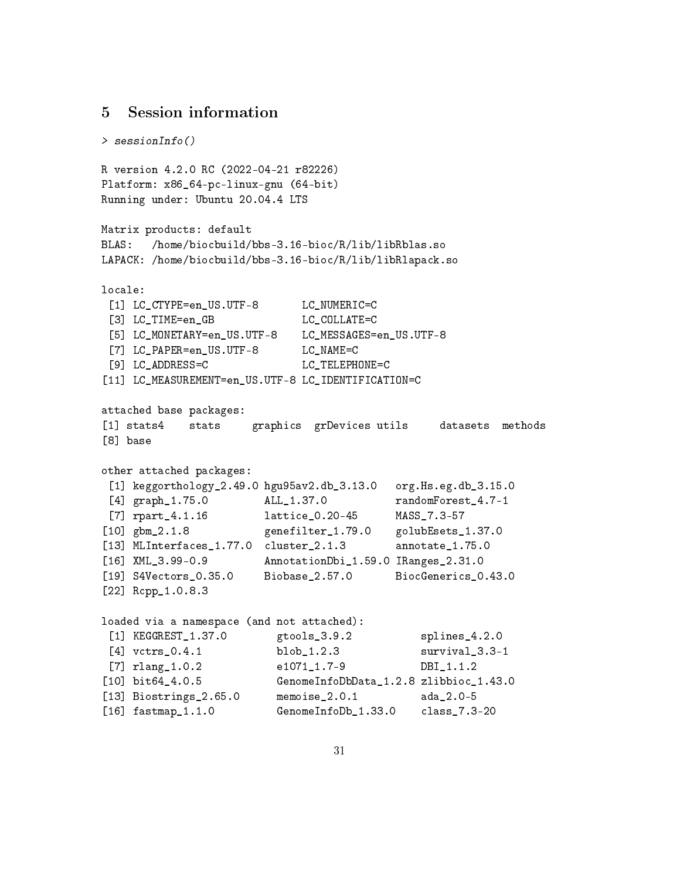## <span id="page-30-0"></span>5 Session information

> sessionInfo() R version 4.2.0 RC (2022-04-21 r82226) Platform: x86\_64-pc-linux-gnu (64-bit) Running under: Ubuntu 20.04.4 LTS Matrix products: default BLAS: /home/biocbuild/bbs-3.16-bioc/R/lib/libRblas.so LAPACK: /home/biocbuild/bbs-3.16-bioc/R/lib/libRlapack.so locale: [1] LC CTYPE=en US.UTF-8 LC NUMERIC=C [3] LC TIME=en GB LC COLLATE=C [5] LC\_MONETARY=en\_US.UTF-8 LC\_MESSAGES=en\_US.UTF-8 [7] LC\_PAPER=en\_US.UTF-8 LC\_NAME=C [9] LC\_ADDRESS=C LC\_TELEPHONE=C [11] LC\_MEASUREMENT=en\_US.UTF-8 LC\_IDENTIFICATION=C attached base packages: [1] stats4 stats graphics grDevices utils datasets methods [8] base other attached packages: [1] keggorthology\_2.49.0 hgu95av2.db\_3.13.0 org.Hs.eg.db\_3.15.0 [4] graph\_1.75.0 ALL\_1.37.0 randomForest\_4.7-1 [7] rpart\_4.1.16 lattice\_0.20-45 MASS\_7.3-57 [10] gbm\_2.1.8 genefilter\_1.79.0 golubEsets\_1.37.0 [13] MLInterfaces 1.77.0 cluster 2.1.3 annotate 1.75.0 [16] XML\_3.99-0.9 AnnotationDbi\_1.59.0 IRanges\_2.31.0 [19] S4Vectors\_0.35.0 Biobase\_2.57.0 BiocGenerics\_0.43.0 [22] Rcpp\_1.0.8.3 loaded via a namespace (and not attached): [1] KEGGREST\_1.37.0 gtools\_3.9.2 splines\_4.2.0 [4] vctrs\_0.4.1 blob\_1.2.3 survival\_3.3-1 [7] rlang\_1.0.2 e1071\_1.7-9 DBI\_1.1.2 [10] bit64\_4.0.5 GenomeInfoDbData\_1.2.8 zlibbioc\_1.43.0 [13] Biostrings\_2.65.0 memoise\_2.0.1 ada\_2.0-5 [16] fastmap\_1.1.0 GenomeInfoDb\_1.33.0 class\_7.3-20